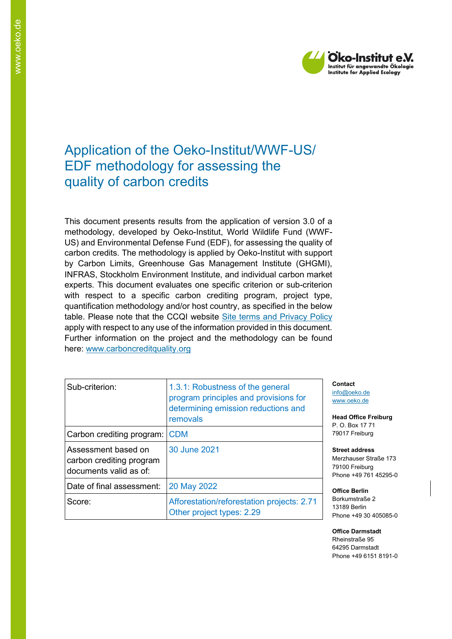

# Application of the Oeko-Institut/WWF-US/ EDF methodology for assessing the quality of carbon credits

This document presents results from the application of version 3.0 of a methodology, developed by Oeko-Institut, World Wildlife Fund (WWF-US) and Environmental Defense Fund (EDF), for assessing the quality of carbon credits. The methodology is applied by Oeko-Institut with support by Carbon Limits, Greenhouse Gas Management Institute (GHGMI), INFRAS, Stockholm Environment Institute, and individual carbon market experts. This document evaluates one specific criterion or sub-criterion with respect to a specific carbon crediting program, project type, quantification methodology and/or host country, as specified in the below table. Please note that the CCQI website [Site terms and Privacy Policy](https://carboncreditquality.org/terms.html) apply with respect to any use of the information provided in this document. Further information on the project and the methodology can be found here: [www.carboncreditquality.org](http://www.carboncreditquality.org/)

| Sub-criterion:                                                            | 1.3.1: Robustness of the general<br>program principles and provisions for<br>determining emission reductions and<br>removals |
|---------------------------------------------------------------------------|------------------------------------------------------------------------------------------------------------------------------|
| Carbon crediting program:                                                 | <b>CDM</b>                                                                                                                   |
| Assessment based on<br>carbon crediting program<br>documents valid as of: | 30 June 2021                                                                                                                 |
| Date of final assessment:                                                 | 20 May 2022                                                                                                                  |
| Score:                                                                    | Afforestation/reforestation projects: 2.71<br>Other project types: 2.29                                                      |

**Contact** [info@oeko.de](mailto:info@oeko.de) [www.oeko.de](http://www.oeko.de/)

**Head Office Freiburg** P. O. Box 17 71 79017 Freiburg

**Street address** Merzhauser Straße 173 79100 Freiburg Phone +49 761 45295-0

**Office Berlin** Borkumstraße 2 13189 Berlin Phone +49 30 405085-0

**Office Darmstadt** Rheinstraße 95 64295 Darmstadt Phone +49 6151 8191-0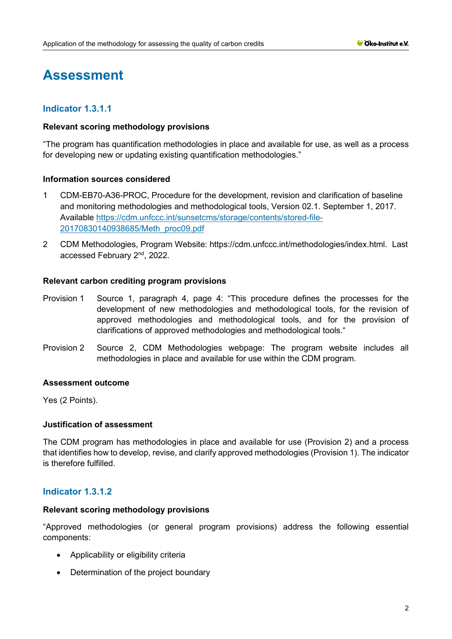# **Assessment**

# **Indicator 1.3.1.1**

## **Relevant scoring methodology provisions**

"The program has quantification methodologies in place and available for use, as well as a process for developing new or updating existing quantification methodologies."

# **Information sources considered**

- 1 CDM-EB70-A36-PROC, Procedure for the development, revision and clarification of baseline and monitoring methodologies and methodological tools, Version 02.1. September 1, 2017. Available [https://cdm.unfccc.int/sunsetcms/storage/contents/stored-file-](https://cdm.unfccc.int/sunsetcms/storage/contents/stored-file-20170830140938685/Meth_proc09.pdf)[20170830140938685/Meth\\_proc09.pdf](https://cdm.unfccc.int/sunsetcms/storage/contents/stored-file-20170830140938685/Meth_proc09.pdf)
- 2 CDM Methodologies, Program Website: https://cdm.unfccc.int/methodologies/index.html. Last accessed February 2<sup>nd</sup>, 2022.

## **Relevant carbon crediting program provisions**

- Provision 1 Source 1, paragraph 4, page 4: "This procedure defines the processes for the development of new methodologies and methodological tools, for the revision of approved methodologies and methodological tools, and for the provision of clarifications of approved methodologies and methodological tools."
- Provision 2 Source 2, CDM Methodologies webpage: The program website includes all methodologies in place and available for use within the CDM program.

# **Assessment outcome**

Yes (2 Points).

# **Justification of assessment**

The CDM program has methodologies in place and available for use (Provision 2) and a process that identifies how to develop, revise, and clarify approved methodologies (Provision 1). The indicator is therefore fulfilled.

# **Indicator 1.3.1.2**

#### **Relevant scoring methodology provisions**

"Approved methodologies (or general program provisions) address the following essential components:

- Applicability or eligibility criteria
- Determination of the project boundary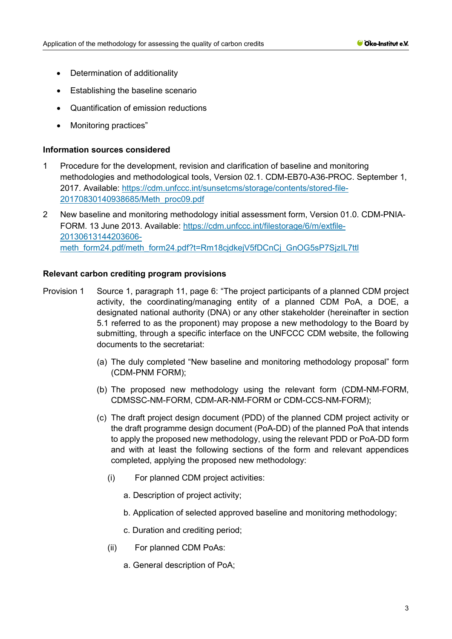- Determination of additionality
- Establishing the baseline scenario
- Quantification of emission reductions
- Monitoring practices"

## **Information sources considered**

- 1 Procedure for the development, revision and clarification of baseline and monitoring methodologies and methodological tools, Version 02.1. CDM-EB70-A36-PROC. September 1, 2017. Available: [https://cdm.unfccc.int/sunsetcms/storage/contents/stored-file-](https://cdm.unfccc.int/sunsetcms/storage/contents/stored-file-20170830140938685/Meth_proc09.pdf)[20170830140938685/Meth\\_proc09.pdf](https://cdm.unfccc.int/sunsetcms/storage/contents/stored-file-20170830140938685/Meth_proc09.pdf)
- 2 New baseline and monitoring methodology initial assessment form, Version 01.0. CDM-PNIA-FORM. 13 June 2013. Available: [https://cdm.unfccc.int/filestorage/6/m/extfile-](https://cdm.unfccc.int/filestorage/6/m/extfile-20130613144203606-meth_form24.pdf/meth_form24.pdf?t=Rm18cjdkejV5fDCnCj_GnOG5sP7SjzIL7ttl)[20130613144203606](https://cdm.unfccc.int/filestorage/6/m/extfile-20130613144203606-meth_form24.pdf/meth_form24.pdf?t=Rm18cjdkejV5fDCnCj_GnOG5sP7SjzIL7ttl) [meth\\_form24.pdf/meth\\_form24.pdf?t=Rm18cjdkejV5fDCnCj\\_GnOG5sP7SjzIL7ttl](https://cdm.unfccc.int/filestorage/6/m/extfile-20130613144203606-meth_form24.pdf/meth_form24.pdf?t=Rm18cjdkejV5fDCnCj_GnOG5sP7SjzIL7ttl)

- Provision 1 Source 1, paragraph 11, page 6: "The project participants of a planned CDM project activity, the coordinating/managing entity of a planned CDM PoA, a DOE, a designated national authority (DNA) or any other stakeholder (hereinafter in section 5.1 referred to as the proponent) may propose a new methodology to the Board by submitting, through a specific interface on the UNFCCC CDM website, the following documents to the secretariat:
	- (a) The duly completed "New baseline and monitoring methodology proposal" form (CDM-PNM FORM);
	- (b) The proposed new methodology using the relevant form (CDM-NM-FORM, CDMSSC-NM-FORM, CDM-AR-NM-FORM or CDM-CCS-NM-FORM);
	- (c) The draft project design document (PDD) of the planned CDM project activity or the draft programme design document (PoA-DD) of the planned PoA that intends to apply the proposed new methodology, using the relevant PDD or PoA-DD form and with at least the following sections of the form and relevant appendices completed, applying the proposed new methodology:
		- (i) For planned CDM project activities:
			- a. Description of project activity;
			- b. Application of selected approved baseline and monitoring methodology;
			- c. Duration and crediting period;
		- (ii) For planned CDM PoAs:
			- a. General description of PoA;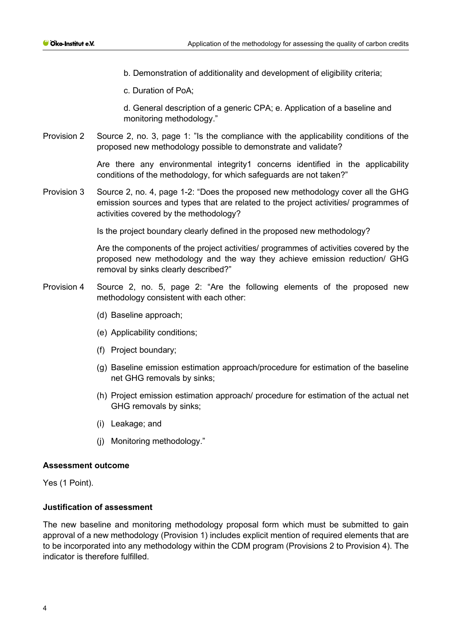- b. Demonstration of additionality and development of eligibility criteria;
- c. Duration of PoA;

d. General description of a generic CPA; e. Application of a baseline and monitoring methodology."

Provision 2 Source 2, no. 3, page 1: "Is the compliance with the applicability conditions of the proposed new methodology possible to demonstrate and validate?

> Are there any environmental integrity1 concerns identified in the applicability conditions of the methodology, for which safeguards are not taken?"

Provision 3 Source 2, no. 4, page 1-2: "Does the proposed new methodology cover all the GHG emission sources and types that are related to the project activities/ programmes of activities covered by the methodology?

Is the project boundary clearly defined in the proposed new methodology?

Are the components of the project activities/ programmes of activities covered by the proposed new methodology and the way they achieve emission reduction/ GHG removal by sinks clearly described?"

- Provision 4 Source 2, no. 5, page 2: "Are the following elements of the proposed new methodology consistent with each other:
	- (d) Baseline approach;
	- (e) Applicability conditions;
	- (f) Project boundary;
	- (g) Baseline emission estimation approach/procedure for estimation of the baseline net GHG removals by sinks;
	- (h) Project emission estimation approach/ procedure for estimation of the actual net GHG removals by sinks;
	- (i) Leakage; and
	- (j) Monitoring methodology."

#### **Assessment outcome**

Yes (1 Point).

# **Justification of assessment**

The new baseline and monitoring methodology proposal form which must be submitted to gain approval of a new methodology (Provision 1) includes explicit mention of required elements that are to be incorporated into any methodology within the CDM program (Provisions 2 to Provision 4). The indicator is therefore fulfilled.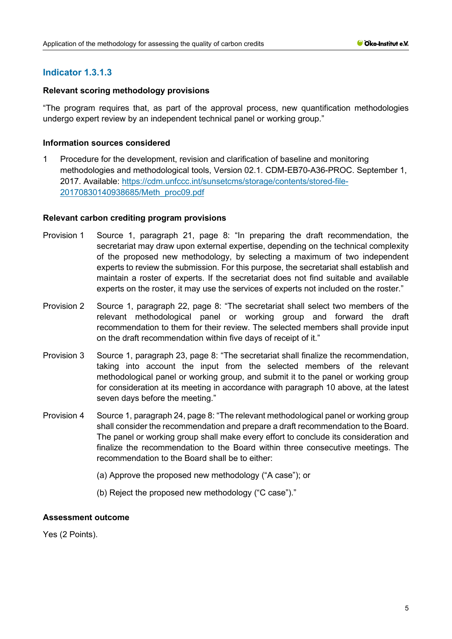# **Indicator 1.3.1.3**

# **Relevant scoring methodology provisions**

"The program requires that, as part of the approval process, new quantification methodologies undergo expert review by an independent technical panel or working group."

# **Information sources considered**

1 Procedure for the development, revision and clarification of baseline and monitoring methodologies and methodological tools, Version 02.1. CDM-EB70-A36-PROC. September 1, 2017. Available: [https://cdm.unfccc.int/sunsetcms/storage/contents/stored-file-](https://cdm.unfccc.int/sunsetcms/storage/contents/stored-file-20170830140938685/Meth_proc09.pdf)[20170830140938685/Meth\\_proc09.pdf](https://cdm.unfccc.int/sunsetcms/storage/contents/stored-file-20170830140938685/Meth_proc09.pdf)

# **Relevant carbon crediting program provisions**

- Provision 1 Source 1, paragraph 21, page 8: "In preparing the draft recommendation, the secretariat may draw upon external expertise, depending on the technical complexity of the proposed new methodology, by selecting a maximum of two independent experts to review the submission. For this purpose, the secretariat shall establish and maintain a roster of experts. If the secretariat does not find suitable and available experts on the roster, it may use the services of experts not included on the roster."
- Provision 2 Source 1, paragraph 22, page 8: "The secretariat shall select two members of the relevant methodological panel or working group and forward the draft recommendation to them for their review. The selected members shall provide input on the draft recommendation within five days of receipt of it."
- Provision 3 Source 1, paragraph 23, page 8: "The secretariat shall finalize the recommendation, taking into account the input from the selected members of the relevant methodological panel or working group, and submit it to the panel or working group for consideration at its meeting in accordance with paragraph 10 above, at the latest seven days before the meeting."
- Provision 4 Source 1, paragraph 24, page 8: "The relevant methodological panel or working group shall consider the recommendation and prepare a draft recommendation to the Board. The panel or working group shall make every effort to conclude its consideration and finalize the recommendation to the Board within three consecutive meetings. The recommendation to the Board shall be to either:
	- (a) Approve the proposed new methodology ("A case"); or
	- (b) Reject the proposed new methodology ("C case")."

# **Assessment outcome**

Yes (2 Points).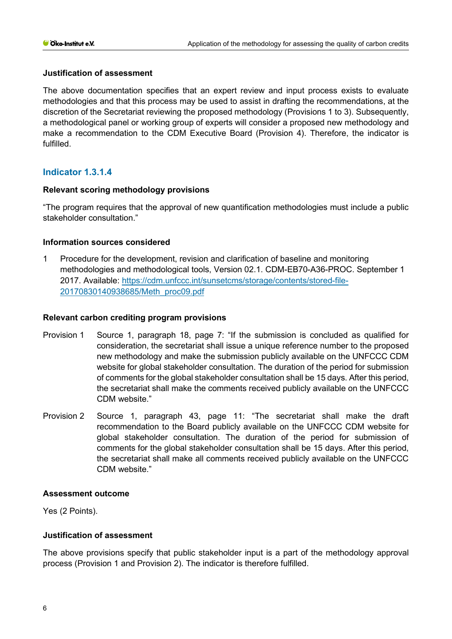# **Justification of assessment**

The above documentation specifies that an expert review and input process exists to evaluate methodologies and that this process may be used to assist in drafting the recommendations, at the discretion of the Secretariat reviewing the proposed methodology (Provisions 1 to 3). Subsequently, a methodological panel or working group of experts will consider a proposed new methodology and make a recommendation to the CDM Executive Board (Provision 4). Therefore, the indicator is fulfilled.

# **Indicator 1.3.1.4**

# **Relevant scoring methodology provisions**

"The program requires that the approval of new quantification methodologies must include a public stakeholder consultation."

# **Information sources considered**

1 Procedure for the development, revision and clarification of baseline and monitoring methodologies and methodological tools, Version 02.1. CDM-EB70-A36-PROC. September 1 2017. Available: [https://cdm.unfccc.int/sunsetcms/storage/contents/stored-file-](https://cdm.unfccc.int/sunsetcms/storage/contents/stored-file-20170830140938685/Meth_proc09.pdf)[20170830140938685/Meth\\_proc09.pdf](https://cdm.unfccc.int/sunsetcms/storage/contents/stored-file-20170830140938685/Meth_proc09.pdf)

## **Relevant carbon crediting program provisions**

- Provision 1 Source 1, paragraph 18, page 7: "If the submission is concluded as qualified for consideration, the secretariat shall issue a unique reference number to the proposed new methodology and make the submission publicly available on the UNFCCC CDM website for global stakeholder consultation. The duration of the period for submission of comments for the global stakeholder consultation shall be 15 days. After this period, the secretariat shall make the comments received publicly available on the UNFCCC CDM website."
- Provision 2 Source 1, paragraph 43, page 11: "The secretariat shall make the draft recommendation to the Board publicly available on the UNFCCC CDM website for global stakeholder consultation. The duration of the period for submission of comments for the global stakeholder consultation shall be 15 days. After this period, the secretariat shall make all comments received publicly available on the UNFCCC CDM website."

# **Assessment outcome**

Yes (2 Points).

# **Justification of assessment**

The above provisions specify that public stakeholder input is a part of the methodology approval process (Provision 1 and Provision 2). The indicator is therefore fulfilled.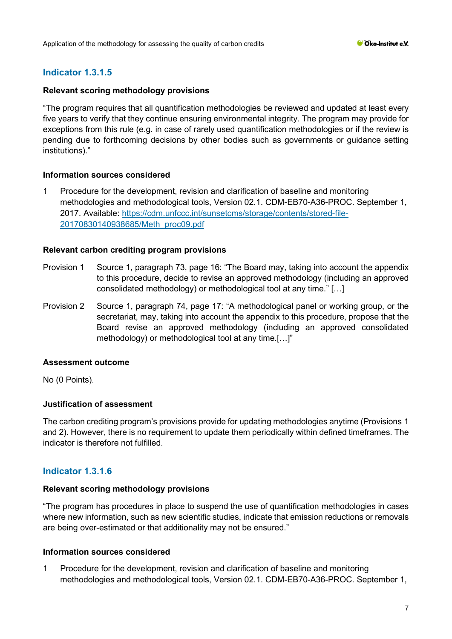# **Indicator 1.3.1.5**

# **Relevant scoring methodology provisions**

"The program requires that all quantification methodologies be reviewed and updated at least every five years to verify that they continue ensuring environmental integrity. The program may provide for exceptions from this rule (e.g. in case of rarely used quantification methodologies or if the review is pending due to forthcoming decisions by other bodies such as governments or guidance setting institutions)." 

# **Information sources considered**

1 Procedure for the development, revision and clarification of baseline and monitoring methodologies and methodological tools, Version 02.1. CDM-EB70-A36-PROC. September 1, 2017. Available: [https://cdm.unfccc.int/sunsetcms/storage/contents/stored-file-](https://cdm.unfccc.int/sunsetcms/storage/contents/stored-file-20170830140938685/Meth_proc09.pdf)[20170830140938685/Meth\\_proc09.pdf](https://cdm.unfccc.int/sunsetcms/storage/contents/stored-file-20170830140938685/Meth_proc09.pdf)

# **Relevant carbon crediting program provisions**

- Provision 1 Source 1, paragraph 73, page 16: "The Board may, taking into account the appendix to this procedure, decide to revise an approved methodology (including an approved consolidated methodology) or methodological tool at any time." […]
- Provision 2 Source 1, paragraph 74, page 17: "A methodological panel or working group, or the secretariat, may, taking into account the appendix to this procedure, propose that the Board revise an approved methodology (including an approved consolidated methodology) or methodological tool at any time.[…]"

# **Assessment outcome**

No (0 Points).

# **Justification of assessment**

The carbon crediting program's provisions provide for updating methodologies anytime (Provisions 1 and 2). However, there is no requirement to update them periodically within defined timeframes. The indicator is therefore not fulfilled.

# **Indicator 1.3.1.6**

# **Relevant scoring methodology provisions**

"The program has procedures in place to suspend the use of quantification methodologies in cases where new information, such as new scientific studies, indicate that emission reductions or removals are being over-estimated or that additionality may not be ensured."

# **Information sources considered**

1 Procedure for the development, revision and clarification of baseline and monitoring methodologies and methodological tools, Version 02.1. CDM-EB70-A36-PROC. September 1,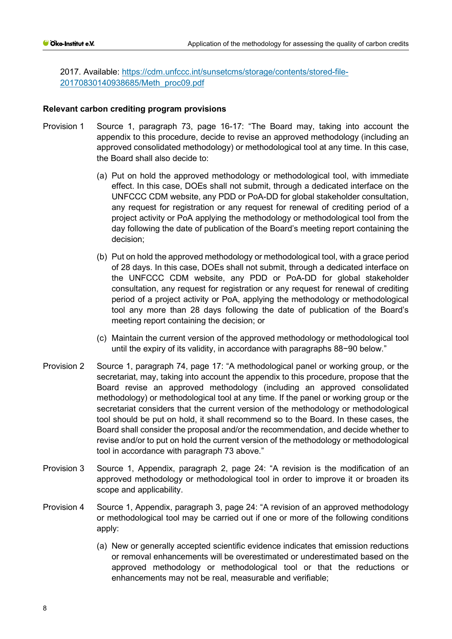2017. Available: [https://cdm.unfccc.int/sunsetcms/storage/contents/stored-file-](https://cdm.unfccc.int/sunsetcms/storage/contents/stored-file-20170830140938685/Meth_proc09.pdf)[20170830140938685/Meth\\_proc09.pdf](https://cdm.unfccc.int/sunsetcms/storage/contents/stored-file-20170830140938685/Meth_proc09.pdf)

- Provision 1 Source 1, paragraph 73, page 16-17: "The Board may, taking into account the appendix to this procedure, decide to revise an approved methodology (including an approved consolidated methodology) or methodological tool at any time. In this case, the Board shall also decide to:
	- (a) Put on hold the approved methodology or methodological tool, with immediate effect. In this case, DOEs shall not submit, through a dedicated interface on the UNFCCC CDM website, any PDD or PoA-DD for global stakeholder consultation, any request for registration or any request for renewal of crediting period of a project activity or PoA applying the methodology or methodological tool from the day following the date of publication of the Board's meeting report containing the decision;
	- (b) Put on hold the approved methodology or methodological tool, with a grace period of 28 days. In this case, DOEs shall not submit, through a dedicated interface on the UNFCCC CDM website, any PDD or PoA-DD for global stakeholder consultation, any request for registration or any request for renewal of crediting period of a project activity or PoA, applying the methodology or methodological tool any more than 28 days following the date of publication of the Board's meeting report containing the decision; or
	- (c) Maintain the current version of the approved methodology or methodological tool until the expiry of its validity, in accordance with paragraphs 88−90 below."
- Provision 2 Source 1, paragraph 74, page 17: "A methodological panel or working group, or the secretariat, may, taking into account the appendix to this procedure, propose that the Board revise an approved methodology (including an approved consolidated methodology) or methodological tool at any time. If the panel or working group or the secretariat considers that the current version of the methodology or methodological tool should be put on hold, it shall recommend so to the Board. In these cases, the Board shall consider the proposal and/or the recommendation, and decide whether to revise and/or to put on hold the current version of the methodology or methodological tool in accordance with paragraph 73 above."
- Provision 3 Source 1, Appendix, paragraph 2, page 24: "A revision is the modification of an approved methodology or methodological tool in order to improve it or broaden its scope and applicability.
- Provision 4 Source 1, Appendix, paragraph 3, page 24: "A revision of an approved methodology or methodological tool may be carried out if one or more of the following conditions apply:
	- (a) New or generally accepted scientific evidence indicates that emission reductions or removal enhancements will be overestimated or underestimated based on the approved methodology or methodological tool or that the reductions or enhancements may not be real, measurable and verifiable;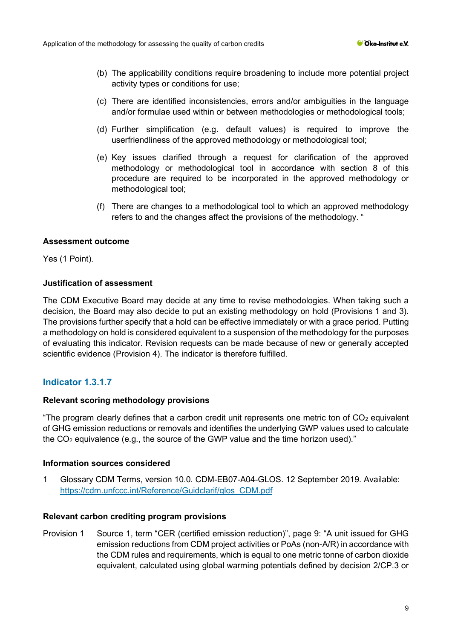- (b) The applicability conditions require broadening to include more potential project activity types or conditions for use;
- (c) There are identified inconsistencies, errors and/or ambiguities in the language and/or formulae used within or between methodologies or methodological tools;
- (d) Further simplification (e.g. default values) is required to improve the userfriendliness of the approved methodology or methodological tool;
- (e) Key issues clarified through a request for clarification of the approved methodology or methodological tool in accordance with section 8 of this procedure are required to be incorporated in the approved methodology or methodological tool;
- (f) There are changes to a methodological tool to which an approved methodology refers to and the changes affect the provisions of the methodology. "

## **Assessment outcome**

Yes (1 Point).

# **Justification of assessment**

The CDM Executive Board may decide at any time to revise methodologies. When taking such a decision, the Board may also decide to put an existing methodology on hold (Provisions 1 and 3). The provisions further specify that a hold can be effective immediately or with a grace period. Putting a methodology on hold is considered equivalent to a suspension of the methodology for the purposes of evaluating this indicator. Revision requests can be made because of new or generally accepted scientific evidence (Provision 4). The indicator is therefore fulfilled.

# **Indicator 1.3.1.7**

#### **Relevant scoring methodology provisions**

"The program clearly defines that a carbon credit unit represents one metric ton of  $CO<sub>2</sub>$  equivalent of GHG emission reductions or removals and identifies the underlying GWP values used to calculate the  $CO<sub>2</sub>$  equivalence (e.g., the source of the GWP value and the time horizon used)."

#### **Information sources considered**

1 Glossary CDM Terms, version 10.0. CDM-EB07-A04-GLOS. 12 September 2019. Available: [https://cdm.unfccc.int/Reference/Guidclarif/glos\\_CDM.pdf](https://cdm.unfccc.int/Reference/Guidclarif/glos_CDM.pdf)

#### **Relevant carbon crediting program provisions**

Provision 1 Source 1, term "CER (certified emission reduction)", page 9: "A unit issued for GHG emission reductions from CDM project activities or PoAs (non-A/R) in accordance with the CDM rules and requirements, which is equal to one metric tonne of carbon dioxide equivalent, calculated using global warming potentials defined by decision 2/CP.3 or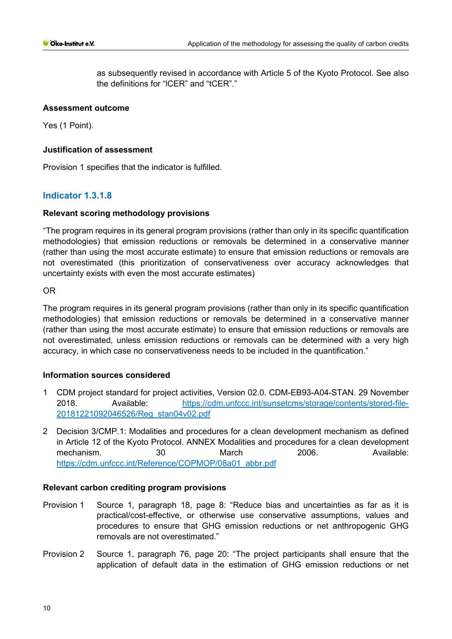as subsequently revised in accordance with Article 5 of the Kyoto Protocol. See also the definitions for "lCER" and "tCER"."

## **Assessment outcome**

Yes (1 Point).

## **Justification of assessment**

Provision 1 specifies that the indicator is fulfilled.

# **Indicator 1.3.1.8**

## **Relevant scoring methodology provisions**

"The program requires in its general program provisions (rather than only in its specific quantification methodologies) that emission reductions or removals be determined in a conservative manner (rather than using the most accurate estimate) to ensure that emission reductions or removals are not overestimated (this prioritization of conservativeness over accuracy acknowledges that uncertainty exists with even the most accurate estimates)

OR

The program requires in its general program provisions (rather than only in its specific quantification methodologies) that emission reductions or removals be determined in a conservative manner (rather than using the most accurate estimate) to ensure that emission reductions or removals are not overestimated, unless emission reductions or removals can be determined with a very high accuracy, in which case no conservativeness needs to be included in the quantification."

# **Information sources considered**

- 1 CDM project standard for project activities, Version 02.0. CDM-EB93-A04-STAN. 29 November 2018. Available: [https://cdm.unfccc.int/sunsetcms/storage/contents/stored-file-](https://cdm.unfccc.int/sunsetcms/storage/contents/stored-file-20181221092046526/Reg_stan04v02.pdf)[20181221092046526/Reg\\_stan04v02.pdf](https://cdm.unfccc.int/sunsetcms/storage/contents/stored-file-20181221092046526/Reg_stan04v02.pdf)
- 2 Decision 3/CMP.1: Modalities and procedures for a clean development mechanism as defined in Article 12 of the Kyoto Protocol. ANNEX Modalities and procedures for a clean development mechanism. 30 March 2006. Available: [https://cdm.unfccc.int/Reference/COPMOP/08a01\\_abbr.pdf](https://cdm.unfccc.int/Reference/COPMOP/08a01_abbr.pdf)

- Provision 1 Source 1, paragraph 18, page 8: "Reduce bias and uncertainties as far as it is practical/cost-effective, or otherwise use conservative assumptions, values and procedures to ensure that GHG emission reductions or net anthropogenic GHG removals are not overestimated."
- Provision 2 Source 1, paragraph 76, page 20: "The project participants shall ensure that the application of default data in the estimation of GHG emission reductions or net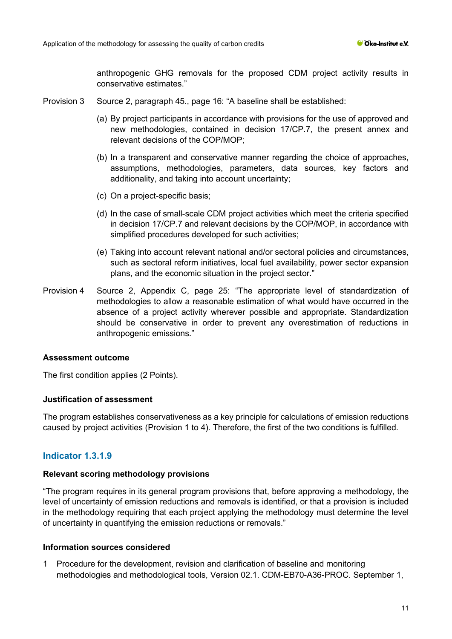anthropogenic GHG removals for the proposed CDM project activity results in conservative estimates."

- Provision 3 Source 2, paragraph 45., page 16: "A baseline shall be established:
	- (a) By project participants in accordance with provisions for the use of approved and new methodologies, contained in decision 17/CP.7, the present annex and relevant decisions of the COP/MOP;
	- (b) In a transparent and conservative manner regarding the choice of approaches, assumptions, methodologies, parameters, data sources, key factors and additionality, and taking into account uncertainty;
	- (c) On a project-specific basis;
	- (d) In the case of small-scale CDM project activities which meet the criteria specified in decision 17/CP.7 and relevant decisions by the COP/MOP, in accordance with simplified procedures developed for such activities;
	- (e) Taking into account relevant national and/or sectoral policies and circumstances, such as sectoral reform initiatives, local fuel availability, power sector expansion plans, and the economic situation in the project sector."
- Provision 4 Source 2, Appendix C, page 25: "The appropriate level of standardization of methodologies to allow a reasonable estimation of what would have occurred in the absence of a project activity wherever possible and appropriate. Standardization should be conservative in order to prevent any overestimation of reductions in anthropogenic emissions."

#### **Assessment outcome**

The first condition applies (2 Points).

#### **Justification of assessment**

The program establishes conservativeness as a key principle for calculations of emission reductions caused by project activities (Provision 1 to 4). Therefore, the first of the two conditions is fulfilled.

# **Indicator 1.3.1.9**

#### **Relevant scoring methodology provisions**

"The program requires in its general program provisions that, before approving a methodology, the level of uncertainty of emission reductions and removals is identified, or that a provision is included in the methodology requiring that each project applying the methodology must determine the level of uncertainty in quantifying the emission reductions or removals."

#### **Information sources considered**

1 Procedure for the development, revision and clarification of baseline and monitoring methodologies and methodological tools, Version 02.1. CDM-EB70-A36-PROC. September 1,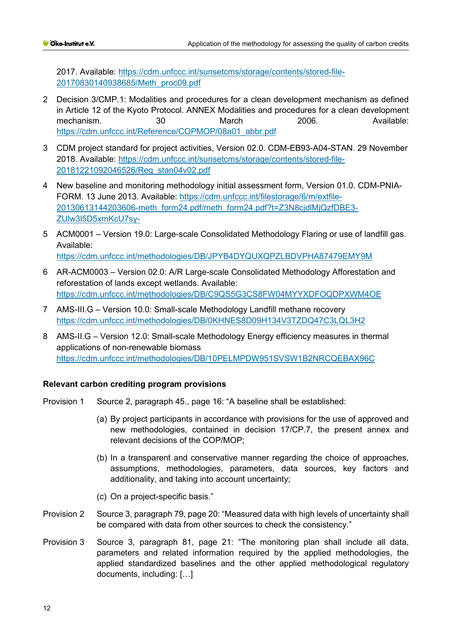2017. Available: [https://cdm.unfccc.int/sunsetcms/storage/contents/stored-file-](https://cdm.unfccc.int/sunsetcms/storage/contents/stored-file-20170830140938685/Meth_proc09.pdf)[20170830140938685/Meth\\_proc09.pdf](https://cdm.unfccc.int/sunsetcms/storage/contents/stored-file-20170830140938685/Meth_proc09.pdf)

- 2 Decision 3/CMP.1: Modalities and procedures for a clean development mechanism as defined in Article 12 of the Kyoto Protocol. ANNEX Modalities and procedures for a clean development mechanism. 30 March 2006. Available: [https://cdm.unfccc.int/Reference/COPMOP/08a01\\_abbr.pdf](https://cdm.unfccc.int/Reference/COPMOP/08a01_abbr.pdf)
- 3 CDM project standard for project activities, Version 02.0. CDM-EB93-A04-STAN. 29 November 2018. Available: [https://cdm.unfccc.int/sunsetcms/storage/contents/stored-file-](https://cdm.unfccc.int/sunsetcms/storage/contents/stored-file-20181221092046526/Reg_stan04v02.pdf)[20181221092046526/Reg\\_stan04v02.pdf](https://cdm.unfccc.int/sunsetcms/storage/contents/stored-file-20181221092046526/Reg_stan04v02.pdf)
- 4 New baseline and monitoring methodology initial assessment form, Version 01.0. CDM-PNIA-FORM. 13 June 2013. Available: [https://cdm.unfccc.int/filestorage/6/m/extfile-](https://cdm.unfccc.int/filestorage/6/m/extfile-20130613144203606-meth_form24.pdf/meth_form24.pdf?t=Z3N8cjdlMjQzfDBE3-ZUlw3l5D5xmKcU7sy-)[20130613144203606-meth\\_form24.pdf/meth\\_form24.pdf?t=Z3N8cjdlMjQzfDBE3-](https://cdm.unfccc.int/filestorage/6/m/extfile-20130613144203606-meth_form24.pdf/meth_form24.pdf?t=Z3N8cjdlMjQzfDBE3-ZUlw3l5D5xmKcU7sy-) [ZUlw3l5D5xmKcU7sy-](https://cdm.unfccc.int/filestorage/6/m/extfile-20130613144203606-meth_form24.pdf/meth_form24.pdf?t=Z3N8cjdlMjQzfDBE3-ZUlw3l5D5xmKcU7sy-)
- 5 ACM0001 Version 19.0: Large-scale Consolidated Methodology Flaring or use of landfill gas. Available: <https://cdm.unfccc.int/methodologies/DB/JPYB4DYQUXQPZLBDVPHA87479EMY9M>
- 6 AR-ACM0003 Version 02.0: A/R Large-scale Consolidated Methodology Afforestation and reforestation of lands except wetlands. Available: <https://cdm.unfccc.int/methodologies/DB/C9QS5G3CS8FW04MYYXDFOQDPXWM4OE>
- 7 AMS-III.G Version 10.0: Small-scale Methodology Landfill methane recovery <https://cdm.unfccc.int/methodologies/DB/0KHNES8D09H134V3TZDQ47C3LQL3H2>
- 8 AMS-II.G Version 12.0: Small-scale Methodology Energy efficiency measures in thermal applications of non-renewable biomass <https://cdm.unfccc.int/methodologies/DB/10PELMPDW951SVSW1B2NRCQEBAX96C>

- Provision 1 Source 2, paragraph 45., page 16: "A baseline shall be established:
	- (a) By project participants in accordance with provisions for the use of approved and new methodologies, contained in decision 17/CP.7, the present annex and relevant decisions of the COP/MOP;
	- (b) In a transparent and conservative manner regarding the choice of approaches, assumptions, methodologies, parameters, data sources, key factors and additionality, and taking into account uncertainty;
	- (c) On a project-specific basis."
- Provision 2 Source 3, paragraph 79, page 20: "Measured data with high levels of uncertainty shall be compared with data from other sources to check the consistency."
- Provision 3 Source 3, paragraph 81, page 21: "The monitoring plan shall include all data, parameters and related information required by the applied methodologies, the applied standardized baselines and the other applied methodological regulatory documents, including: […]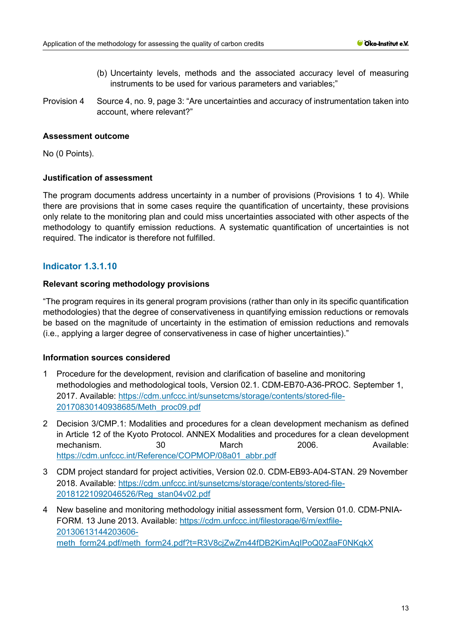- (b) Uncertainty levels, methods and the associated accuracy level of measuring instruments to be used for various parameters and variables;"
- Provision 4 Source 4, no. 9, page 3: "Are uncertainties and accuracy of instrumentation taken into account, where relevant?"

# **Assessment outcome**

No (0 Points).

# **Justification of assessment**

The program documents address uncertainty in a number of provisions (Provisions 1 to 4). While there are provisions that in some cases require the quantification of uncertainty, these provisions only relate to the monitoring plan and could miss uncertainties associated with other aspects of the methodology to quantify emission reductions. A systematic quantification of uncertainties is not required. The indicator is therefore not fulfilled.

# **Indicator 1.3.1.10**

# **Relevant scoring methodology provisions**

"The program requires in its general program provisions (rather than only in its specific quantification methodologies) that the degree of conservativeness in quantifying emission reductions or removals be based on the magnitude of uncertainty in the estimation of emission reductions and removals (i.e., applying a larger degree of conservativeness in case of higher uncertainties)."

# **Information sources considered**

- 1 Procedure for the development, revision and clarification of baseline and monitoring methodologies and methodological tools, Version 02.1. CDM-EB70-A36-PROC. September 1, 2017. Available: [https://cdm.unfccc.int/sunsetcms/storage/contents/stored-file-](https://cdm.unfccc.int/sunsetcms/storage/contents/stored-file-20170830140938685/Meth_proc09.pdf)[20170830140938685/Meth\\_proc09.pdf](https://cdm.unfccc.int/sunsetcms/storage/contents/stored-file-20170830140938685/Meth_proc09.pdf)
- 2 Decision 3/CMP.1: Modalities and procedures for a clean development mechanism as defined in Article 12 of the Kyoto Protocol. ANNEX Modalities and procedures for a clean development mechanism. 30 March 2006. Available: [https://cdm.unfccc.int/Reference/COPMOP/08a01\\_abbr.pdf](https://cdm.unfccc.int/Reference/COPMOP/08a01_abbr.pdf)
- 3 CDM project standard for project activities, Version 02.0. CDM-EB93-A04-STAN. 29 November 2018. Available: [https://cdm.unfccc.int/sunsetcms/storage/contents/stored-file-](https://cdm.unfccc.int/sunsetcms/storage/contents/stored-file-20181221092046526/Reg_stan04v02.pdf)[20181221092046526/Reg\\_stan04v02.pdf](https://cdm.unfccc.int/sunsetcms/storage/contents/stored-file-20181221092046526/Reg_stan04v02.pdf)
- 4 New baseline and monitoring methodology initial assessment form, Version 01.0. CDM-PNIA-FORM. 13 June 2013. Available: [https://cdm.unfccc.int/filestorage/6/m/extfile-](https://cdm.unfccc.int/filestorage/6/m/extfile-20130613144203606-meth_form24.pdf/meth_form24.pdf?t=R3V8cjZwZm44fDB2KimAqIPoQ0ZaaF0NKqkX)[20130613144203606](https://cdm.unfccc.int/filestorage/6/m/extfile-20130613144203606-meth_form24.pdf/meth_form24.pdf?t=R3V8cjZwZm44fDB2KimAqIPoQ0ZaaF0NKqkX) [meth\\_form24.pdf/meth\\_form24.pdf?t=R3V8cjZwZm44fDB2KimAqIPoQ0ZaaF0NKqkX](https://cdm.unfccc.int/filestorage/6/m/extfile-20130613144203606-meth_form24.pdf/meth_form24.pdf?t=R3V8cjZwZm44fDB2KimAqIPoQ0ZaaF0NKqkX)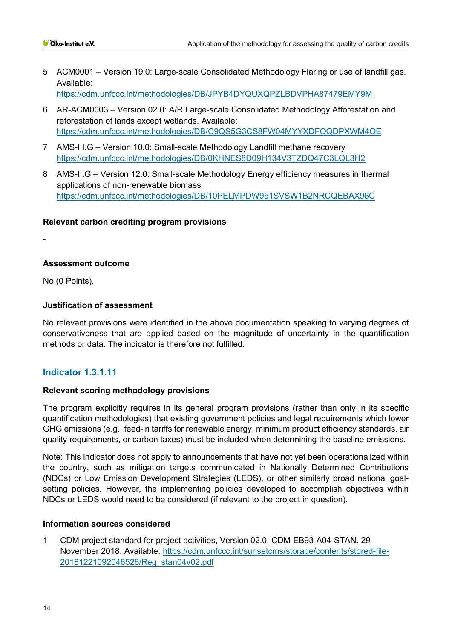- 5 ACM0001 Version 19.0: Large-scale Consolidated Methodology Flaring or use of landfill gas. Available: <https://cdm.unfccc.int/methodologies/DB/JPYB4DYQUXQPZLBDVPHA87479EMY9M>
- 6 AR-ACM0003 Version 02.0: A/R Large-scale Consolidated Methodology Afforestation and reforestation of lands except wetlands. Available: <https://cdm.unfccc.int/methodologies/DB/C9QS5G3CS8FW04MYYXDFOQDPXWM4OE>
- 7 AMS-III.G Version 10.0: Small-scale Methodology Landfill methane recovery <https://cdm.unfccc.int/methodologies/DB/0KHNES8D09H134V3TZDQ47C3LQL3H2>
- 8 AMS-II.G Version 12.0: Small-scale Methodology Energy efficiency measures in thermal applications of non-renewable biomass <https://cdm.unfccc.int/methodologies/DB/10PELMPDW951SVSW1B2NRCQEBAX96C>

# **Relevant carbon crediting program provisions**

-

# **Assessment outcome**

No (0 Points).

# **Justification of assessment**

No relevant provisions were identified in the above documentation speaking to varying degrees of conservativeness that are applied based on the magnitude of uncertainty in the quantification methods or data. The indicator is therefore not fulfilled.

# **Indicator 1.3.1.11**

# **Relevant scoring methodology provisions**

The program explicitly requires in its general program provisions (rather than only in its specific quantification methodologies) that existing government policies and legal requirements which lower GHG emissions (e.g., feed-in tariffs for renewable energy, minimum product efficiency standards, air quality requirements, or carbon taxes) must be included when determining the baseline emissions.

Note: This indicator does not apply to announcements that have not yet been operationalized within the country, such as mitigation targets communicated in Nationally Determined Contributions (NDCs) or Low Emission Development Strategies (LEDS), or other similarly broad national goalsetting policies. However, the implementing policies developed to accomplish objectives within NDCs or LEDS would need to be considered (if relevant to the project in question).

#### **Information sources considered**

1 CDM project standard for project activities, Version 02.0. CDM-EB93-A04-STAN. 29 November 2018. Available: [https://cdm.unfccc.int/sunsetcms/storage/contents/stored-file-](https://cdm.unfccc.int/sunsetcms/storage/contents/stored-file-20181221092046526/Reg_stan04v02.pdf)[20181221092046526/Reg\\_stan04v02.pdf](https://cdm.unfccc.int/sunsetcms/storage/contents/stored-file-20181221092046526/Reg_stan04v02.pdf)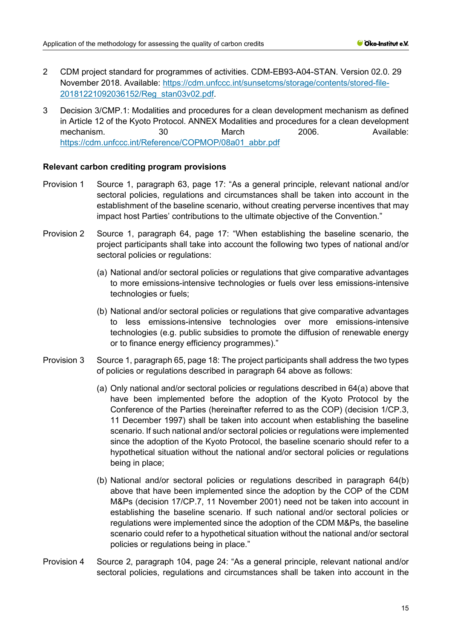- 2 CDM project standard for programmes of activities. CDM-EB93-A04-STAN. Version 02.0. 29 November 2018. Available: [https://cdm.unfccc.int/sunsetcms/storage/contents/stored-file-](https://cdm.unfccc.int/sunsetcms/storage/contents/stored-file-20181221092036152/Reg_stan03v02.pdf)[20181221092036152/Reg\\_stan03v02.pdf.](https://cdm.unfccc.int/sunsetcms/storage/contents/stored-file-20181221092036152/Reg_stan03v02.pdf)
- 3 Decision 3/CMP.1: Modalities and procedures for a clean development mechanism as defined in Article 12 of the Kyoto Protocol. ANNEX Modalities and procedures for a clean development mechanism. 30 March 2006. Available: [https://cdm.unfccc.int/Reference/COPMOP/08a01\\_abbr.pdf](https://cdm.unfccc.int/Reference/COPMOP/08a01_abbr.pdf)

- Provision 1 Source 1, paragraph 63, page 17: "As a general principle, relevant national and/or sectoral policies, regulations and circumstances shall be taken into account in the establishment of the baseline scenario, without creating perverse incentives that may impact host Parties' contributions to the ultimate objective of the Convention."
- Provision 2 Source 1, paragraph 64, page 17: "When establishing the baseline scenario, the project participants shall take into account the following two types of national and/or sectoral policies or regulations:
	- (a) National and/or sectoral policies or regulations that give comparative advantages to more emissions-intensive technologies or fuels over less emissions-intensive technologies or fuels;
	- (b) National and/or sectoral policies or regulations that give comparative advantages to less emissions-intensive technologies over more emissions-intensive technologies (e.g. public subsidies to promote the diffusion of renewable energy or to finance energy efficiency programmes)."
- Provision 3 Source 1, paragraph 65, page 18: The project participants shall address the two types of policies or regulations described in paragraph 64 above as follows:
	- (a) Only national and/or sectoral policies or regulations described in 64(a) above that have been implemented before the adoption of the Kyoto Protocol by the Conference of the Parties (hereinafter referred to as the COP) (decision 1/CP.3, 11 December 1997) shall be taken into account when establishing the baseline scenario. If such national and/or sectoral policies or regulations were implemented since the adoption of the Kyoto Protocol, the baseline scenario should refer to a hypothetical situation without the national and/or sectoral policies or regulations being in place;
	- (b) National and/or sectoral policies or regulations described in paragraph 64(b) above that have been implemented since the adoption by the COP of the CDM M&Ps (decision 17/CP.7, 11 November 2001) need not be taken into account in establishing the baseline scenario. If such national and/or sectoral policies or regulations were implemented since the adoption of the CDM M&Ps, the baseline scenario could refer to a hypothetical situation without the national and/or sectoral policies or regulations being in place."
- Provision 4 Source 2, paragraph 104, page 24: "As a general principle, relevant national and/or sectoral policies, regulations and circumstances shall be taken into account in the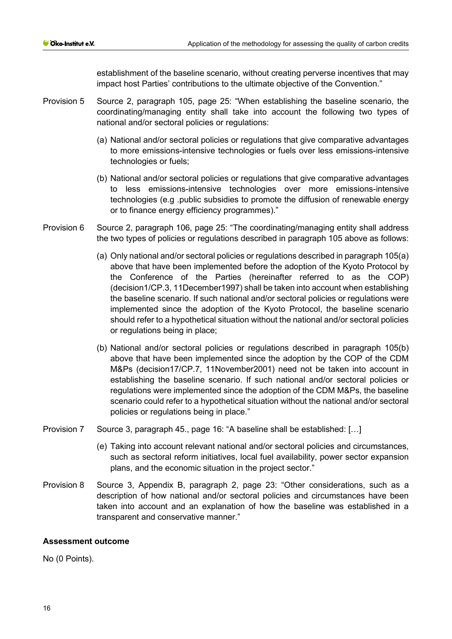establishment of the baseline scenario, without creating perverse incentives that may impact host Parties' contributions to the ultimate objective of the Convention."

- Provision 5 Source 2, paragraph 105, page 25: "When establishing the baseline scenario, the coordinating/managing entity shall take into account the following two types of national and/or sectoral policies or regulations:
	- (a) National and/or sectoral policies or regulations that give comparative advantages to more emissions-intensive technologies or fuels over less emissions-intensive technologies or fuels;
	- (b) National and/or sectoral policies or regulations that give comparative advantages to less emissions-intensive technologies over more emissions-intensive technologies (e.g .public subsidies to promote the diffusion of renewable energy or to finance energy efficiency programmes)."
- Provision 6 Source 2, paragraph 106, page 25: "The coordinating/managing entity shall address the two types of policies or regulations described in paragraph 105 above as follows:
	- (a) Only national and/or sectoral policies or regulations described in paragraph 105(a) above that have been implemented before the adoption of the Kyoto Protocol by the Conference of the Parties (hereinafter referred to as the COP) (decision1/CP.3, 11December1997) shall be taken into account when establishing the baseline scenario. If such national and/or sectoral policies or regulations were implemented since the adoption of the Kyoto Protocol, the baseline scenario should refer to a hypothetical situation without the national and/or sectoral policies or regulations being in place;
	- (b) National and/or sectoral policies or regulations described in paragraph 105(b) above that have been implemented since the adoption by the COP of the CDM M&Ps (decision17/CP.7, 11November2001) need not be taken into account in establishing the baseline scenario. If such national and/or sectoral policies or regulations were implemented since the adoption of the CDM M&Ps, the baseline scenario could refer to a hypothetical situation without the national and/or sectoral policies or regulations being in place."
- Provision 7 Source 3, paragraph 45., page 16: "A baseline shall be established: […]
	- (e) Taking into account relevant national and/or sectoral policies and circumstances, such as sectoral reform initiatives, local fuel availability, power sector expansion plans, and the economic situation in the project sector."
- Provision 8 Source 3, Appendix B, paragraph 2, page 23: "Other considerations, such as a description of how national and/or sectoral policies and circumstances have been taken into account and an explanation of how the baseline was established in a transparent and conservative manner."

# **Assessment outcome**

No (0 Points).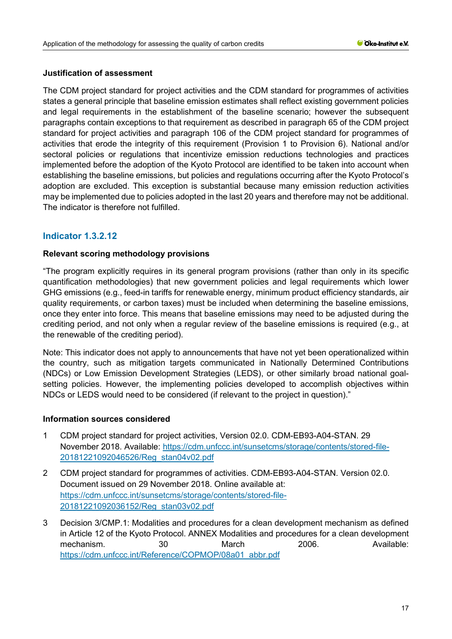# **Justification of assessment**

The CDM project standard for project activities and the CDM standard for programmes of activities states a general principle that baseline emission estimates shall reflect existing government policies and legal requirements in the establishment of the baseline scenario; however the subsequent paragraphs contain exceptions to that requirement as described in paragraph 65 of the CDM project standard for project activities and paragraph 106 of the CDM project standard for programmes of activities that erode the integrity of this requirement (Provision 1 to Provision 6). National and/or sectoral policies or regulations that incentivize emission reductions technologies and practices implemented before the adoption of the Kyoto Protocol are identified to be taken into account when establishing the baseline emissions, but policies and regulations occurring after the Kyoto Protocol's adoption are excluded. This exception is substantial because many emission reduction activities may be implemented due to policies adopted in the last 20 years and therefore may not be additional. The indicator is therefore not fulfilled.

# **Indicator 1.3.2.12**

## **Relevant scoring methodology provisions**

"The program explicitly requires in its general program provisions (rather than only in its specific quantification methodologies) that new government policies and legal requirements which lower GHG emissions (e.g., feed-in tariffs for renewable energy, minimum product efficiency standards, air quality requirements, or carbon taxes) must be included when determining the baseline emissions, once they enter into force. This means that baseline emissions may need to be adjusted during the crediting period, and not only when a regular review of the baseline emissions is required (e.g., at the renewable of the crediting period).

Note: This indicator does not apply to announcements that have not yet been operationalized within the country, such as mitigation targets communicated in Nationally Determined Contributions (NDCs) or Low Emission Development Strategies (LEDS), or other similarly broad national goalsetting policies. However, the implementing policies developed to accomplish objectives within NDCs or LEDS would need to be considered (if relevant to the project in question)."

#### **Information sources considered**

- 1 CDM project standard for project activities, Version 02.0. CDM-EB93-A04-STAN. 29 November 2018. Available: [https://cdm.unfccc.int/sunsetcms/storage/contents/stored-file-](https://cdm.unfccc.int/sunsetcms/storage/contents/stored-file-20181221092046526/Reg_stan04v02.pdf)[20181221092046526/Reg\\_stan04v02.pdf](https://cdm.unfccc.int/sunsetcms/storage/contents/stored-file-20181221092046526/Reg_stan04v02.pdf)
- 2 CDM project standard for programmes of activities. CDM-EB93-A04-STAN. Version 02.0. Document issued on 29 November 2018. Online available at: [https://cdm.unfccc.int/sunsetcms/storage/contents/stored-file-](https://cdm.unfccc.int/sunsetcms/storage/contents/stored-file-20181221092036152/Reg_stan03v02.pdf)[20181221092036152/Reg\\_stan03v02.pdf](https://cdm.unfccc.int/sunsetcms/storage/contents/stored-file-20181221092036152/Reg_stan03v02.pdf)
- 3 Decision 3/CMP.1: Modalities and procedures for a clean development mechanism as defined in Article 12 of the Kyoto Protocol. ANNEX Modalities and procedures for a clean development mechanism. 30 March 2006. Available: [https://cdm.unfccc.int/Reference/COPMOP/08a01\\_abbr.pdf](https://cdm.unfccc.int/Reference/COPMOP/08a01_abbr.pdf)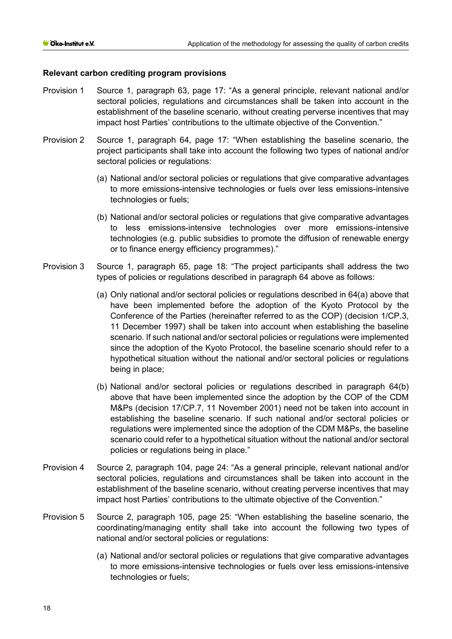- Provision 1 Source 1, paragraph 63, page 17: "As a general principle, relevant national and/or sectoral policies, regulations and circumstances shall be taken into account in the establishment of the baseline scenario, without creating perverse incentives that may impact host Parties' contributions to the ultimate objective of the Convention."
- Provision 2 Source 1, paragraph 64, page 17: "When establishing the baseline scenario, the project participants shall take into account the following two types of national and/or sectoral policies or regulations:
	- (a) National and/or sectoral policies or regulations that give comparative advantages to more emissions-intensive technologies or fuels over less emissions-intensive technologies or fuels;
	- (b) National and/or sectoral policies or regulations that give comparative advantages to less emissions-intensive technologies over more emissions-intensive technologies (e.g. public subsidies to promote the diffusion of renewable energy or to finance energy efficiency programmes)."
- Provision 3 Source 1, paragraph 65, page 18: "The project participants shall address the two types of policies or regulations described in paragraph 64 above as follows:
	- (a) Only national and/or sectoral policies or regulations described in 64(a) above that have been implemented before the adoption of the Kyoto Protocol by the Conference of the Parties (hereinafter referred to as the COP) (decision 1/CP.3, 11 December 1997) shall be taken into account when establishing the baseline scenario. If such national and/or sectoral policies or regulations were implemented since the adoption of the Kyoto Protocol, the baseline scenario should refer to a hypothetical situation without the national and/or sectoral policies or regulations being in place;
	- (b) National and/or sectoral policies or regulations described in paragraph 64(b) above that have been implemented since the adoption by the COP of the CDM M&Ps (decision 17/CP.7, 11 November 2001) need not be taken into account in establishing the baseline scenario. If such national and/or sectoral policies or regulations were implemented since the adoption of the CDM M&Ps, the baseline scenario could refer to a hypothetical situation without the national and/or sectoral policies or regulations being in place."
- Provision 4 Source 2, paragraph 104, page 24: "As a general principle, relevant national and/or sectoral policies, regulations and circumstances shall be taken into account in the establishment of the baseline scenario, without creating perverse incentives that may impact host Parties' contributions to the ultimate objective of the Convention."
- Provision 5 Source 2, paragraph 105, page 25: "When establishing the baseline scenario, the coordinating/managing entity shall take into account the following two types of national and/or sectoral policies or regulations:
	- (a) National and/or sectoral policies or regulations that give comparative advantages to more emissions-intensive technologies or fuels over less emissions-intensive technologies or fuels;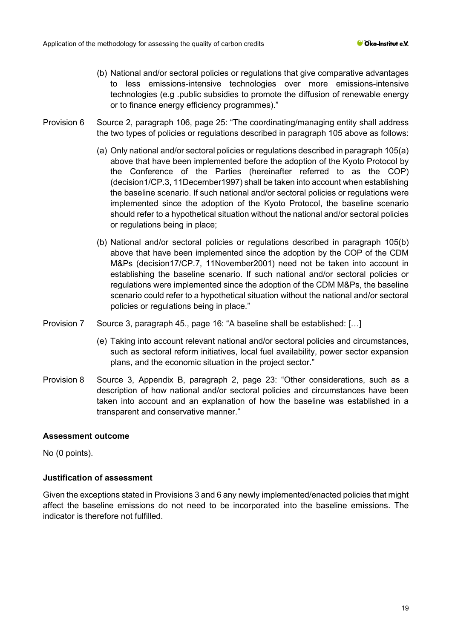- (b) National and/or sectoral policies or regulations that give comparative advantages to less emissions-intensive technologies over more emissions-intensive technologies (e.g .public subsidies to promote the diffusion of renewable energy or to finance energy efficiency programmes)."
- Provision 6 Source 2, paragraph 106, page 25: "The coordinating/managing entity shall address the two types of policies or regulations described in paragraph 105 above as follows:
	- (a) Only national and/or sectoral policies or regulations described in paragraph 105(a) above that have been implemented before the adoption of the Kyoto Protocol by the Conference of the Parties (hereinafter referred to as the COP) (decision1/CP.3, 11December1997) shall be taken into account when establishing the baseline scenario. If such national and/or sectoral policies or regulations were implemented since the adoption of the Kyoto Protocol, the baseline scenario should refer to a hypothetical situation without the national and/or sectoral policies or regulations being in place;
	- (b) National and/or sectoral policies or regulations described in paragraph 105(b) above that have been implemented since the adoption by the COP of the CDM M&Ps (decision17/CP.7, 11November2001) need not be taken into account in establishing the baseline scenario. If such national and/or sectoral policies or regulations were implemented since the adoption of the CDM M&Ps, the baseline scenario could refer to a hypothetical situation without the national and/or sectoral policies or regulations being in place."
- Provision 7 Source 3, paragraph 45., page 16: "A baseline shall be established: […]
	- (e) Taking into account relevant national and/or sectoral policies and circumstances, such as sectoral reform initiatives, local fuel availability, power sector expansion plans, and the economic situation in the project sector."
- Provision 8 Source 3, Appendix B, paragraph 2, page 23: "Other considerations, such as a description of how national and/or sectoral policies and circumstances have been taken into account and an explanation of how the baseline was established in a transparent and conservative manner."

#### **Assessment outcome**

No (0 points).

# **Justification of assessment**

Given the exceptions stated in Provisions 3 and 6 any newly implemented/enacted policies that might affect the baseline emissions do not need to be incorporated into the baseline emissions. The indicator is therefore not fulfilled.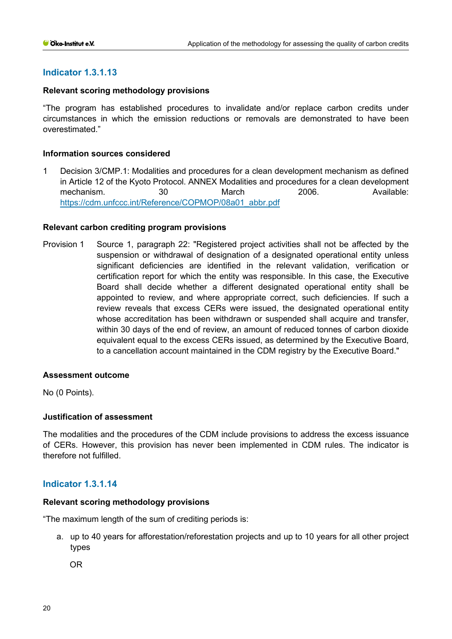# **Indicator 1.3.1.13**

## **Relevant scoring methodology provisions**

"The program has established procedures to invalidate and/or replace carbon credits under circumstances in which the emission reductions or removals are demonstrated to have been overestimated."

## **Information sources considered**

1 Decision 3/CMP.1: Modalities and procedures for a clean development mechanism as defined in Article 12 of the Kyoto Protocol. ANNEX Modalities and procedures for a clean development mechanism. 30 March 2006. Available: [https://cdm.unfccc.int/Reference/COPMOP/08a01\\_abbr.pdf](https://cdm.unfccc.int/Reference/COPMOP/08a01_abbr.pdf)

#### **Relevant carbon crediting program provisions**

Provision 1 Source 1, paragraph 22: "Registered project activities shall not be affected by the suspension or withdrawal of designation of a designated operational entity unless significant deficiencies are identified in the relevant validation, verification or certification report for which the entity was responsible. In this case, the Executive Board shall decide whether a different designated operational entity shall be appointed to review, and where appropriate correct, such deficiencies. If such a review reveals that excess CERs were issued, the designated operational entity whose accreditation has been withdrawn or suspended shall acquire and transfer, within 30 days of the end of review, an amount of reduced tonnes of carbon dioxide equivalent equal to the excess CERs issued, as determined by the Executive Board, to a cancellation account maintained in the CDM registry by the Executive Board."

#### **Assessment outcome**

No (0 Points).

# **Justification of assessment**

The modalities and the procedures of the CDM include provisions to address the excess issuance of CERs. However, this provision has never been implemented in CDM rules. The indicator is therefore not fulfilled.

# **Indicator 1.3.1.14**

#### **Relevant scoring methodology provisions**

"The maximum length of the sum of crediting periods is:

a. up to 40 years for afforestation/reforestation projects and up to 10 years for all other project types

OR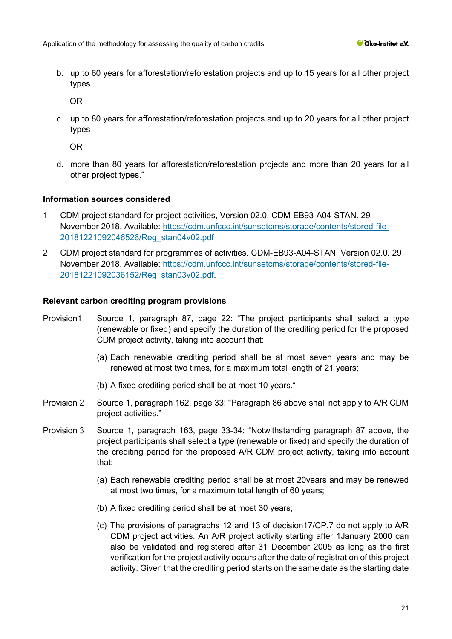b. up to 60 years for afforestation/reforestation projects and up to 15 years for all other project types

OR

c. up to 80 years for afforestation/reforestation projects and up to 20 years for all other project types

OR

d. more than 80 years for afforestation/reforestation projects and more than 20 years for all other project types."

## **Information sources considered**

- 1 CDM project standard for project activities, Version 02.0. CDM-EB93-A04-STAN. 29 November 2018. Available: [https://cdm.unfccc.int/sunsetcms/storage/contents/stored-file-](https://cdm.unfccc.int/sunsetcms/storage/contents/stored-file-20181221092046526/Reg_stan04v02.pdf)[20181221092046526/Reg\\_stan04v02.pdf](https://cdm.unfccc.int/sunsetcms/storage/contents/stored-file-20181221092046526/Reg_stan04v02.pdf)
- 2 CDM project standard for programmes of activities. CDM-EB93-A04-STAN. Version 02.0. 29 November 2018. Available: [https://cdm.unfccc.int/sunsetcms/storage/contents/stored-file-](https://cdm.unfccc.int/sunsetcms/storage/contents/stored-file-20181221092036152/Reg_stan03v02.pdf)[20181221092036152/Reg\\_stan03v02.pdf.](https://cdm.unfccc.int/sunsetcms/storage/contents/stored-file-20181221092036152/Reg_stan03v02.pdf)

- Provision1 Source 1, paragraph 87, page 22: "The project participants shall select a type (renewable or fixed) and specify the duration of the crediting period for the proposed CDM project activity, taking into account that:
	- (a) Each renewable crediting period shall be at most seven years and may be renewed at most two times, for a maximum total length of 21 years;
	- (b) A fixed crediting period shall be at most 10 years."
- Provision 2 Source 1, paragraph 162, page 33: "Paragraph 86 above shall not apply to A/R CDM project activities."
- Provision 3 Source 1, paragraph 163, page 33-34: "Notwithstanding paragraph 87 above, the project participants shall select a type (renewable or fixed) and specify the duration of the crediting period for the proposed A/R CDM project activity, taking into account that:
	- (a) Each renewable crediting period shall be at most 20years and may be renewed at most two times, for a maximum total length of 60 years;
	- (b) A fixed crediting period shall be at most 30 years;
	- (c) The provisions of paragraphs 12 and 13 of decision17/CP.7 do not apply to A/R CDM project activities. An A/R project activity starting after 1January 2000 can also be validated and registered after 31 December 2005 as long as the first verification for the project activity occurs after the date of registration of this project activity. Given that the crediting period starts on the same date as the starting date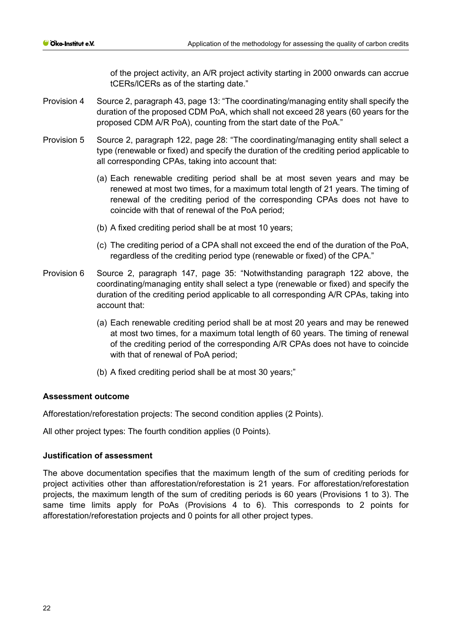of the project activity, an A/R project activity starting in 2000 onwards can accrue tCERs/lCERs as of the starting date."

- Provision 4 Source 2, paragraph 43, page 13: "The coordinating/managing entity shall specify the duration of the proposed CDM PoA, which shall not exceed 28 years (60 years for the proposed CDM A/R PoA), counting from the start date of the PoA."
- Provision 5 Source 2, paragraph 122, page 28: "The coordinating/managing entity shall select a type (renewable or fixed) and specify the duration of the crediting period applicable to all corresponding CPAs, taking into account that:
	- (a) Each renewable crediting period shall be at most seven years and may be renewed at most two times, for a maximum total length of 21 years. The timing of renewal of the crediting period of the corresponding CPAs does not have to coincide with that of renewal of the PoA period;
	- (b) A fixed crediting period shall be at most 10 years;
	- (c) The crediting period of a CPA shall not exceed the end of the duration of the PoA, regardless of the crediting period type (renewable or fixed) of the CPA."
- Provision 6 Source 2, paragraph 147, page 35: "Notwithstanding paragraph 122 above, the coordinating/managing entity shall select a type (renewable or fixed) and specify the duration of the crediting period applicable to all corresponding A/R CPAs, taking into account that:
	- (a) Each renewable crediting period shall be at most 20 years and may be renewed at most two times, for a maximum total length of 60 years. The timing of renewal of the crediting period of the corresponding A/R CPAs does not have to coincide with that of renewal of PoA period;
	- (b) A fixed crediting period shall be at most 30 years;"

#### **Assessment outcome**

Afforestation/reforestation projects: The second condition applies (2 Points).

All other project types: The fourth condition applies (0 Points).

# **Justification of assessment**

The above documentation specifies that the maximum length of the sum of crediting periods for project activities other than afforestation/reforestation is 21 years. For afforestation/reforestation projects, the maximum length of the sum of crediting periods is 60 years (Provisions 1 to 3). The same time limits apply for PoAs (Provisions 4 to 6). This corresponds to 2 points for afforestation/reforestation projects and 0 points for all other project types.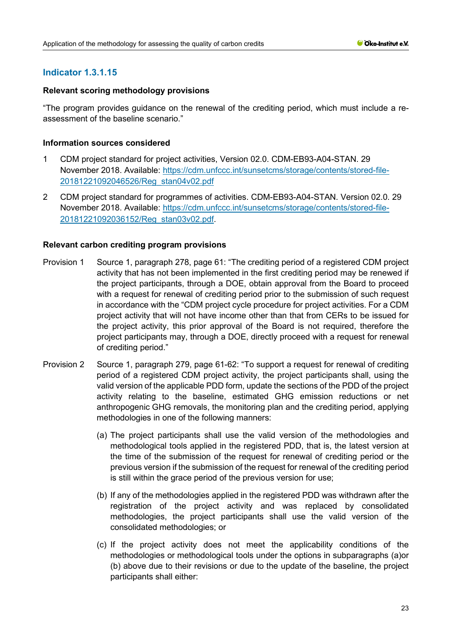# **Indicator 1.3.1.15**

## **Relevant scoring methodology provisions**

"The program provides guidance on the renewal of the crediting period, which must include a reassessment of the baseline scenario."

# **Information sources considered**

- 1 CDM project standard for project activities, Version 02.0. CDM-EB93-A04-STAN. 29 November 2018. Available: [https://cdm.unfccc.int/sunsetcms/storage/contents/stored-file-](https://cdm.unfccc.int/sunsetcms/storage/contents/stored-file-20181221092046526/Reg_stan04v02.pdf)[20181221092046526/Reg\\_stan04v02.pdf](https://cdm.unfccc.int/sunsetcms/storage/contents/stored-file-20181221092046526/Reg_stan04v02.pdf)
- 2 CDM project standard for programmes of activities. CDM-EB93-A04-STAN. Version 02.0. 29 November 2018. Available: [https://cdm.unfccc.int/sunsetcms/storage/contents/stored-file-](https://cdm.unfccc.int/sunsetcms/storage/contents/stored-file-20181221092036152/Reg_stan03v02.pdf)[20181221092036152/Reg\\_stan03v02.pdf.](https://cdm.unfccc.int/sunsetcms/storage/contents/stored-file-20181221092036152/Reg_stan03v02.pdf)

- Provision 1 Source 1, paragraph 278, page 61: "The crediting period of a registered CDM project activity that has not been implemented in the first crediting period may be renewed if the project participants, through a DOE, obtain approval from the Board to proceed with a request for renewal of crediting period prior to the submission of such request in accordance with the "CDM project cycle procedure for project activities. For a CDM project activity that will not have income other than that from CERs to be issued for the project activity, this prior approval of the Board is not required, therefore the project participants may, through a DOE, directly proceed with a request for renewal of crediting period."
- Provision 2 Source 1, paragraph 279, page 61-62: "To support a request for renewal of crediting period of a registered CDM project activity, the project participants shall, using the valid version of the applicable PDD form, update the sections of the PDD of the project activity relating to the baseline, estimated GHG emission reductions or net anthropogenic GHG removals, the monitoring plan and the crediting period, applying methodologies in one of the following manners:
	- (a) The project participants shall use the valid version of the methodologies and methodological tools applied in the registered PDD, that is, the latest version at the time of the submission of the request for renewal of crediting period or the previous version if the submission of the request for renewal of the crediting period is still within the grace period of the previous version for use;
	- (b) If any of the methodologies applied in the registered PDD was withdrawn after the registration of the project activity and was replaced by consolidated methodologies, the project participants shall use the valid version of the consolidated methodologies; or
	- (c) If the project activity does not meet the applicability conditions of the methodologies or methodological tools under the options in subparagraphs (a)or (b) above due to their revisions or due to the update of the baseline, the project participants shall either: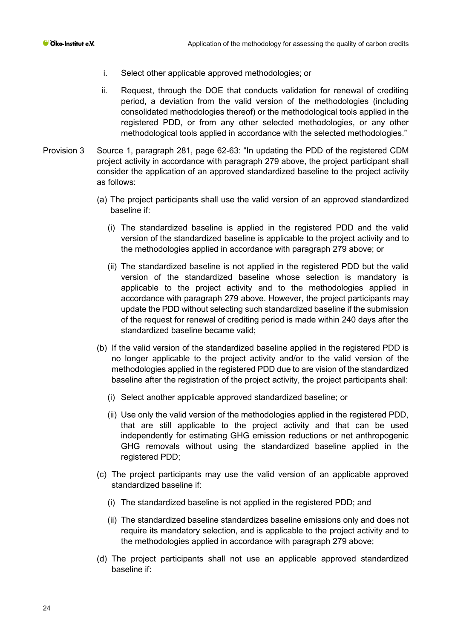- i. Select other applicable approved methodologies; or
- ii. Request, through the DOE that conducts validation for renewal of crediting period, a deviation from the valid version of the methodologies (including consolidated methodologies thereof) or the methodological tools applied in the registered PDD, or from any other selected methodologies, or any other methodological tools applied in accordance with the selected methodologies."
- Provision 3 Source 1, paragraph 281, page 62-63: "In updating the PDD of the registered CDM project activity in accordance with paragraph 279 above, the project participant shall consider the application of an approved standardized baseline to the project activity as follows:
	- (a) The project participants shall use the valid version of an approved standardized baseline if:
		- (i) The standardized baseline is applied in the registered PDD and the valid version of the standardized baseline is applicable to the project activity and to the methodologies applied in accordance with paragraph 279 above; or
		- (ii) The standardized baseline is not applied in the registered PDD but the valid version of the standardized baseline whose selection is mandatory is applicable to the project activity and to the methodologies applied in accordance with paragraph 279 above. However, the project participants may update the PDD without selecting such standardized baseline if the submission of the request for renewal of crediting period is made within 240 days after the standardized baseline became valid;
	- (b) If the valid version of the standardized baseline applied in the registered PDD is no longer applicable to the project activity and/or to the valid version of the methodologies applied in the registered PDD due to are vision of the standardized baseline after the registration of the project activity, the project participants shall:
		- (i) Select another applicable approved standardized baseline; or
		- (ii) Use only the valid version of the methodologies applied in the registered PDD, that are still applicable to the project activity and that can be used independently for estimating GHG emission reductions or net anthropogenic GHG removals without using the standardized baseline applied in the registered PDD;
	- (c) The project participants may use the valid version of an applicable approved standardized baseline if:
		- (i) The standardized baseline is not applied in the registered PDD; and
		- (ii) The standardized baseline standardizes baseline emissions only and does not require its mandatory selection, and is applicable to the project activity and to the methodologies applied in accordance with paragraph 279 above;
	- (d) The project participants shall not use an applicable approved standardized baseline if: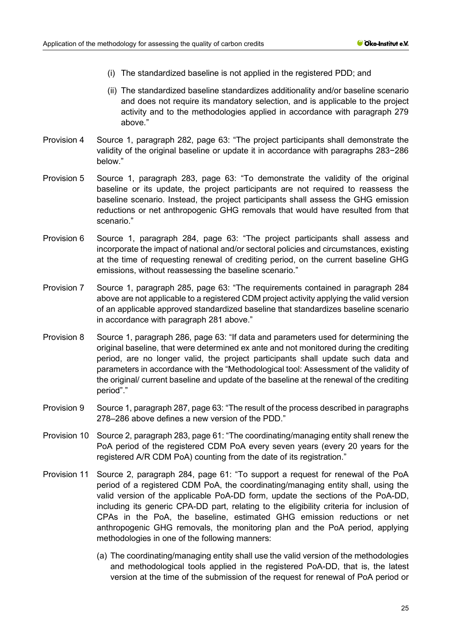- (i) The standardized baseline is not applied in the registered PDD; and
- (ii) The standardized baseline standardizes additionality and/or baseline scenario and does not require its mandatory selection, and is applicable to the project activity and to the methodologies applied in accordance with paragraph 279 above."
- Provision 4 Source 1, paragraph 282, page 63: "The project participants shall demonstrate the validity of the original baseline or update it in accordance with paragraphs 283−286 below."
- Provision 5 Source 1, paragraph 283, page 63: "To demonstrate the validity of the original baseline or its update, the project participants are not required to reassess the baseline scenario. Instead, the project participants shall assess the GHG emission reductions or net anthropogenic GHG removals that would have resulted from that scenario."
- Provision 6 Source 1, paragraph 284, page 63: "The project participants shall assess and incorporate the impact of national and/or sectoral policies and circumstances, existing at the time of requesting renewal of crediting period, on the current baseline GHG emissions, without reassessing the baseline scenario."
- Provision 7 Source 1, paragraph 285, page 63: "The requirements contained in paragraph 284 above are not applicable to a registered CDM project activity applying the valid version of an applicable approved standardized baseline that standardizes baseline scenario in accordance with paragraph 281 above."
- Provision 8 Source 1, paragraph 286, page 63: "If data and parameters used for determining the original baseline, that were determined ex ante and not monitored during the crediting period, are no longer valid, the project participants shall update such data and parameters in accordance with the "Methodological tool: Assessment of the validity of the original/ current baseline and update of the baseline at the renewal of the crediting period"."
- Provision 9 Source 1, paragraph 287, page 63: "The result of the process described in paragraphs 278–286 above defines a new version of the PDD."
- Provision 10 Source 2, paragraph 283, page 61: "The coordinating/managing entity shall renew the PoA period of the registered CDM PoA every seven years (every 20 years for the registered A/R CDM PoA) counting from the date of its registration."
- Provision 11 Source 2, paragraph 284, page 61: "To support a request for renewal of the PoA period of a registered CDM PoA, the coordinating/managing entity shall, using the valid version of the applicable PoA-DD form, update the sections of the PoA-DD, including its generic CPA-DD part, relating to the eligibility criteria for inclusion of CPAs in the PoA, the baseline, estimated GHG emission reductions or net anthropogenic GHG removals, the monitoring plan and the PoA period, applying methodologies in one of the following manners:
	- (a) The coordinating/managing entity shall use the valid version of the methodologies and methodological tools applied in the registered PoA-DD, that is, the latest version at the time of the submission of the request for renewal of PoA period or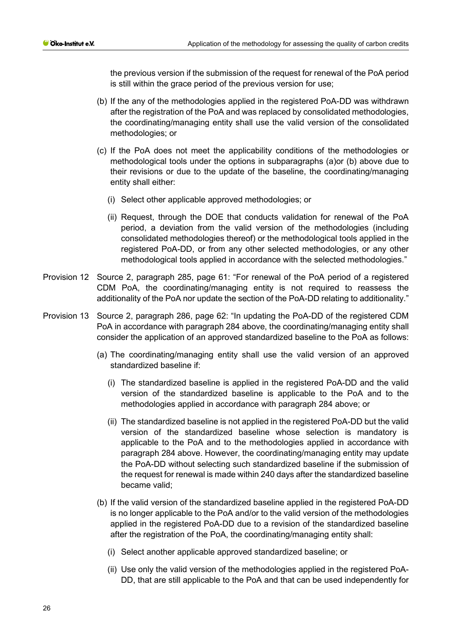the previous version if the submission of the request for renewal of the PoA period is still within the grace period of the previous version for use;

- (b) If the any of the methodologies applied in the registered PoA-DD was withdrawn after the registration of the PoA and was replaced by consolidated methodologies, the coordinating/managing entity shall use the valid version of the consolidated methodologies; or
- (c) If the PoA does not meet the applicability conditions of the methodologies or methodological tools under the options in subparagraphs (a)or (b) above due to their revisions or due to the update of the baseline, the coordinating/managing entity shall either:
	- (i) Select other applicable approved methodologies; or
	- (ii) Request, through the DOE that conducts validation for renewal of the PoA period, a deviation from the valid version of the methodologies (including consolidated methodologies thereof) or the methodological tools applied in the registered PoA-DD, or from any other selected methodologies, or any other methodological tools applied in accordance with the selected methodologies."
- Provision 12 Source 2, paragraph 285, page 61: "For renewal of the PoA period of a registered CDM PoA, the coordinating/managing entity is not required to reassess the additionality of the PoA nor update the section of the PoA-DD relating to additionality."
- Provision 13 Source 2, paragraph 286, page 62: "In updating the PoA-DD of the registered CDM PoA in accordance with paragraph 284 above, the coordinating/managing entity shall consider the application of an approved standardized baseline to the PoA as follows:
	- (a) The coordinating/managing entity shall use the valid version of an approved standardized baseline if:
		- (i) The standardized baseline is applied in the registered PoA-DD and the valid version of the standardized baseline is applicable to the PoA and to the methodologies applied in accordance with paragraph 284 above; or
		- (ii) The standardized baseline is not applied in the registered PoA-DD but the valid version of the standardized baseline whose selection is mandatory is applicable to the PoA and to the methodologies applied in accordance with paragraph 284 above. However, the coordinating/managing entity may update the PoA-DD without selecting such standardized baseline if the submission of the request for renewal is made within 240 days after the standardized baseline became valid;
	- (b) If the valid version of the standardized baseline applied in the registered PoA-DD is no longer applicable to the PoA and/or to the valid version of the methodologies applied in the registered PoA-DD due to a revision of the standardized baseline after the registration of the PoA, the coordinating/managing entity shall:
		- (i) Select another applicable approved standardized baseline; or
		- (ii) Use only the valid version of the methodologies applied in the registered PoA-DD, that are still applicable to the PoA and that can be used independently for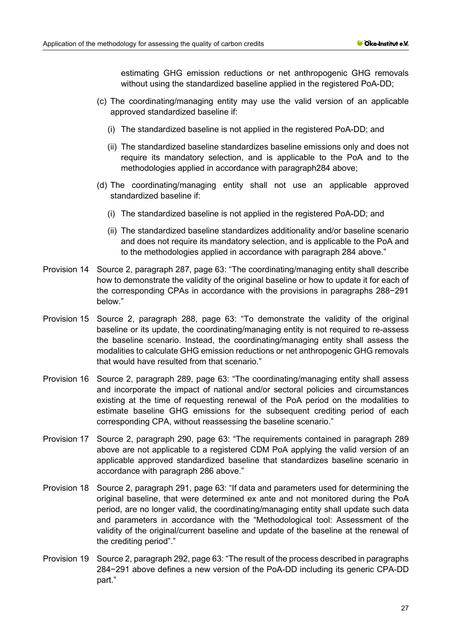estimating GHG emission reductions or net anthropogenic GHG removals without using the standardized baseline applied in the registered PoA-DD;

- (c) The coordinating/managing entity may use the valid version of an applicable approved standardized baseline if:
	- (i) The standardized baseline is not applied in the registered PoA-DD; and
	- (ii) The standardized baseline standardizes baseline emissions only and does not require its mandatory selection, and is applicable to the PoA and to the methodologies applied in accordance with paragraph284 above;
- (d) The coordinating/managing entity shall not use an applicable approved standardized baseline if:
	- (i) The standardized baseline is not applied in the registered PoA-DD; and
	- (ii) The standardized baseline standardizes additionality and/or baseline scenario and does not require its mandatory selection, and is applicable to the PoA and to the methodologies applied in accordance with paragraph 284 above."
- Provision 14 Source 2, paragraph 287, page 63: "The coordinating/managing entity shall describe how to demonstrate the validity of the original baseline or how to update it for each of the corresponding CPAs in accordance with the provisions in paragraphs 288−291 below."
- Provision 15 Source 2, paragraph 288, page 63: "To demonstrate the validity of the original baseline or its update, the coordinating/managing entity is not required to re-assess the baseline scenario. Instead, the coordinating/managing entity shall assess the modalities to calculate GHG emission reductions or net anthropogenic GHG removals that would have resulted from that scenario."
- Provision 16 Source 2, paragraph 289, page 63: "The coordinating/managing entity shall assess and incorporate the impact of national and/or sectoral policies and circumstances existing at the time of requesting renewal of the PoA period on the modalities to estimate baseline GHG emissions for the subsequent crediting period of each corresponding CPA, without reassessing the baseline scenario."
- Provision 17 Source 2, paragraph 290, page 63: "The requirements contained in paragraph 289 above are not applicable to a registered CDM PoA applying the valid version of an applicable approved standardized baseline that standardizes baseline scenario in accordance with paragraph 286 above."
- Provision 18 Source 2, paragraph 291, page 63: "If data and parameters used for determining the original baseline, that were determined ex ante and not monitored during the PoA period, are no longer valid, the coordinating/managing entity shall update such data and parameters in accordance with the "Methodological tool: Assessment of the validity of the original/current baseline and update of the baseline at the renewal of the crediting period"."
- Provision 19 Source 2, paragraph 292, page 63: "The result of the process described in paragraphs 284−291 above defines a new version of the PoA-DD including its generic CPA-DD part."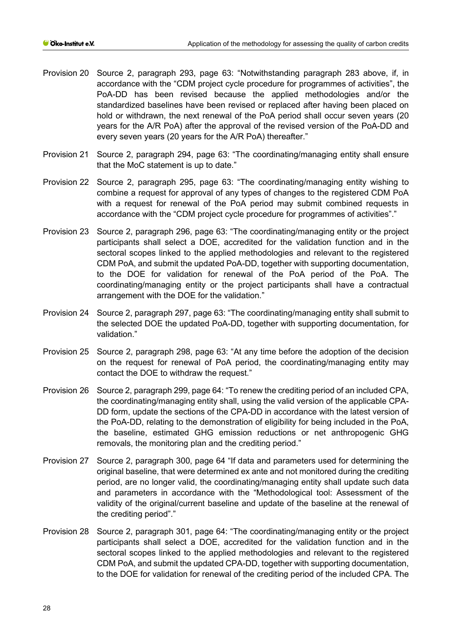- Provision 20 Source 2, paragraph 293, page 63: "Notwithstanding paragraph 283 above, if, in accordance with the "CDM project cycle procedure for programmes of activities", the PoA-DD has been revised because the applied methodologies and/or the standardized baselines have been revised or replaced after having been placed on hold or withdrawn, the next renewal of the PoA period shall occur seven years (20 years for the A/R PoA) after the approval of the revised version of the PoA-DD and every seven years (20 years for the A/R PoA) thereafter."
- Provision 21 Source 2, paragraph 294, page 63: "The coordinating/managing entity shall ensure that the MoC statement is up to date."
- Provision 22 Source 2, paragraph 295, page 63: "The coordinating/managing entity wishing to combine a request for approval of any types of changes to the registered CDM PoA with a request for renewal of the PoA period may submit combined requests in accordance with the "CDM project cycle procedure for programmes of activities"."
- Provision 23 Source 2, paragraph 296, page 63: "The coordinating/managing entity or the project participants shall select a DOE, accredited for the validation function and in the sectoral scopes linked to the applied methodologies and relevant to the registered CDM PoA, and submit the updated PoA-DD, together with supporting documentation, to the DOE for validation for renewal of the PoA period of the PoA. The coordinating/managing entity or the project participants shall have a contractual arrangement with the DOE for the validation."
- Provision 24 Source 2, paragraph 297, page 63: "The coordinating/managing entity shall submit to the selected DOE the updated PoA-DD, together with supporting documentation, for validation."
- Provision 25 Source 2, paragraph 298, page 63: "At any time before the adoption of the decision on the request for renewal of PoA period, the coordinating/managing entity may contact the DOE to withdraw the request."
- Provision 26 Source 2, paragraph 299, page 64: "To renew the crediting period of an included CPA, the coordinating/managing entity shall, using the valid version of the applicable CPA-DD form, update the sections of the CPA-DD in accordance with the latest version of the PoA-DD, relating to the demonstration of eligibility for being included in the PoA, the baseline, estimated GHG emission reductions or net anthropogenic GHG removals, the monitoring plan and the crediting period."
- Provision 27 Source 2, paragraph 300, page 64 "If data and parameters used for determining the original baseline, that were determined ex ante and not monitored during the crediting period, are no longer valid, the coordinating/managing entity shall update such data and parameters in accordance with the "Methodological tool: Assessment of the validity of the original/current baseline and update of the baseline at the renewal of the crediting period"."
- Provision 28 Source 2, paragraph 301, page 64: "The coordinating/managing entity or the project participants shall select a DOE, accredited for the validation function and in the sectoral scopes linked to the applied methodologies and relevant to the registered CDM PoA, and submit the updated CPA-DD, together with supporting documentation, to the DOE for validation for renewal of the crediting period of the included CPA. The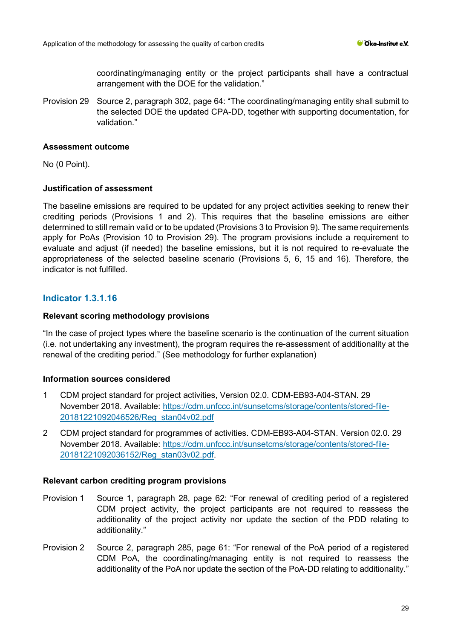coordinating/managing entity or the project participants shall have a contractual arrangement with the DOE for the validation."

Provision 29 Source 2, paragraph 302, page 64: "The coordinating/managing entity shall submit to the selected DOE the updated CPA-DD, together with supporting documentation, for validation."

# **Assessment outcome**

No (0 Point).

# **Justification of assessment**

The baseline emissions are required to be updated for any project activities seeking to renew their crediting periods (Provisions 1 and 2). This requires that the baseline emissions are either determined to still remain valid or to be updated (Provisions 3 to Provision 9). The same requirements apply for PoAs (Provision 10 to Provision 29). The program provisions include a requirement to evaluate and adjust (if needed) the baseline emissions, but it is not required to re-evaluate the appropriateness of the selected baseline scenario (Provisions 5, 6, 15 and 16). Therefore, the indicator is not fulfilled.

# **Indicator 1.3.1.16**

# **Relevant scoring methodology provisions**

"In the case of project types where the baseline scenario is the continuation of the current situation (i.e. not undertaking any investment), the program requires the re-assessment of additionality at the renewal of the crediting period." (See methodology for further explanation)

# **Information sources considered**

- 1 CDM project standard for project activities, Version 02.0. CDM-EB93-A04-STAN. 29 November 2018. Available: [https://cdm.unfccc.int/sunsetcms/storage/contents/stored-file-](https://cdm.unfccc.int/sunsetcms/storage/contents/stored-file-20181221092046526/Reg_stan04v02.pdf)[20181221092046526/Reg\\_stan04v02.pdf](https://cdm.unfccc.int/sunsetcms/storage/contents/stored-file-20181221092046526/Reg_stan04v02.pdf)
- 2 CDM project standard for programmes of activities. CDM-EB93-A04-STAN. Version 02.0. 29 November 2018. Available: [https://cdm.unfccc.int/sunsetcms/storage/contents/stored-file-](https://cdm.unfccc.int/sunsetcms/storage/contents/stored-file-20181221092036152/Reg_stan03v02.pdf)[20181221092036152/Reg\\_stan03v02.pdf.](https://cdm.unfccc.int/sunsetcms/storage/contents/stored-file-20181221092036152/Reg_stan03v02.pdf)

- Provision 1 Source 1, paragraph 28, page 62: "For renewal of crediting period of a registered CDM project activity, the project participants are not required to reassess the additionality of the project activity nor update the section of the PDD relating to additionality."
- Provision 2 Source 2, paragraph 285, page 61: "For renewal of the PoA period of a registered CDM PoA, the coordinating/managing entity is not required to reassess the additionality of the PoA nor update the section of the PoA-DD relating to additionality."